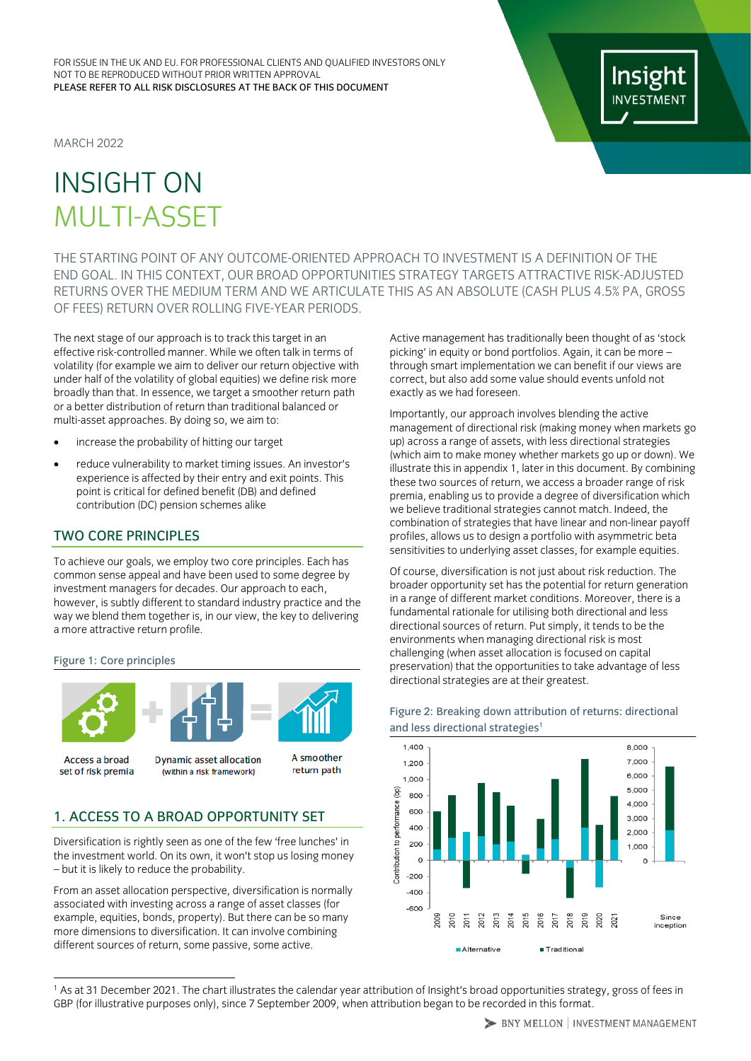MARCH 2022

# INSIGHT ON MULTI-ASSET

THE STARTING POINT OF ANY OUTCOME-ORIENTED APPROACH TO INVESTMENT IS A DEFINITION OF THE END GOAL. IN THIS CONTEXT, OUR BROAD OPPORTUNITIES STRATEGY TARGETS ATTRACTIVE RISK-ADJUSTED RETURNS OVER THE MEDIUM TERM AND WE ARTICULATE THIS AS AN ABSOLUTE (CASH PLUS 4.5% PA, GROSS OF FEES) RETURN OVER ROLLING FIVE-YEAR PERIODS.

The next stage of our approach is to track this target in an effective risk-controlled manner. While we often talk in terms of volatility (for example we aim to deliver our return objective with under half of the volatility of global equities) we define risk more broadly than that. In essence, we target a smoother return path or a better distribution of return than traditional balanced or multi-asset approaches. By doing so, we aim to:

- increase the probability of hitting our target
- reduce vulnerability to market timing issues. An investor's experience is affected by their entry and exit points. This point is critical for defined benefit (DB) and defined contribution (DC) pension schemes alike

## TWO CORE PRINCIPLES

To achieve our goals, we employ two core principles. Each has common sense appeal and have been used to some degree by investment managers for decades. Our approach to each, however, is subtly different to standard industry practice and the way we blend them together is, in our view, the key to delivering a more attractive return profile.

#### Figure 1: Core principles



Access a broad set of risk premia

Dynamic asset allocation (within a risk framework)

return path

# 1. ACCESS TO A BROAD OPPORTUNITY SET

Diversification is rightly seen as one of the few 'free lunches' in the investment world. On its own, it won't stop us losing money – but it is likely to reduce the probability.

From an asset allocation perspective, diversification is normally associated with investing across a range of asset classes (for example, equities, bonds, property). But there can be so many more dimensions to diversification. It can involve combining different sources of return, some passive, some active.

Active management has traditionally been thought of as 'stock picking' in equity or bond portfolios. Again, it can be more – through smart implementation we can benefit if our views are correct, but also add some value should events unfold not exactly as we had foreseen.

Importantly, our approach involves blending the active management of directional risk (making money when markets go up) across a range of assets, with less directional strategies (which aim to make money whether markets go up or down). We illustrate this in appendix 1, later in this document. By combining these two sources of return, we access a broader range of risk premia, enabling us to provide a degree of diversification which we believe traditional strategies cannot match. Indeed, the combination of strategies that have linear and non-linear payoff profiles, allows us to design a portfolio with asymmetric beta sensitivities to underlying asset classes, for example equities.

Of course, diversification is not just about risk reduction. The broader opportunity set has the potential for return generation in a range of different market conditions. Moreover, there is a fundamental rationale for utilising both directional and less directional sources of return. Put simply, it tends to be the environments when managing directional risk is most challenging (when asset allocation is focused on capital preservation) that the opportunities to take advantage of less directional strategies are at their greatest.



## Figure 2: Breaking down attribution of returns: directional and less directional strategies<sup>1</sup>

<sup>1</sup> As at 31 December 2021. The chart illustrates the calendar year attribution of Insight's broad opportunities strategy, gross of fees in GBP (for illustrative purposes only), since 7 September 2009, when attribution began to be recorded in this format.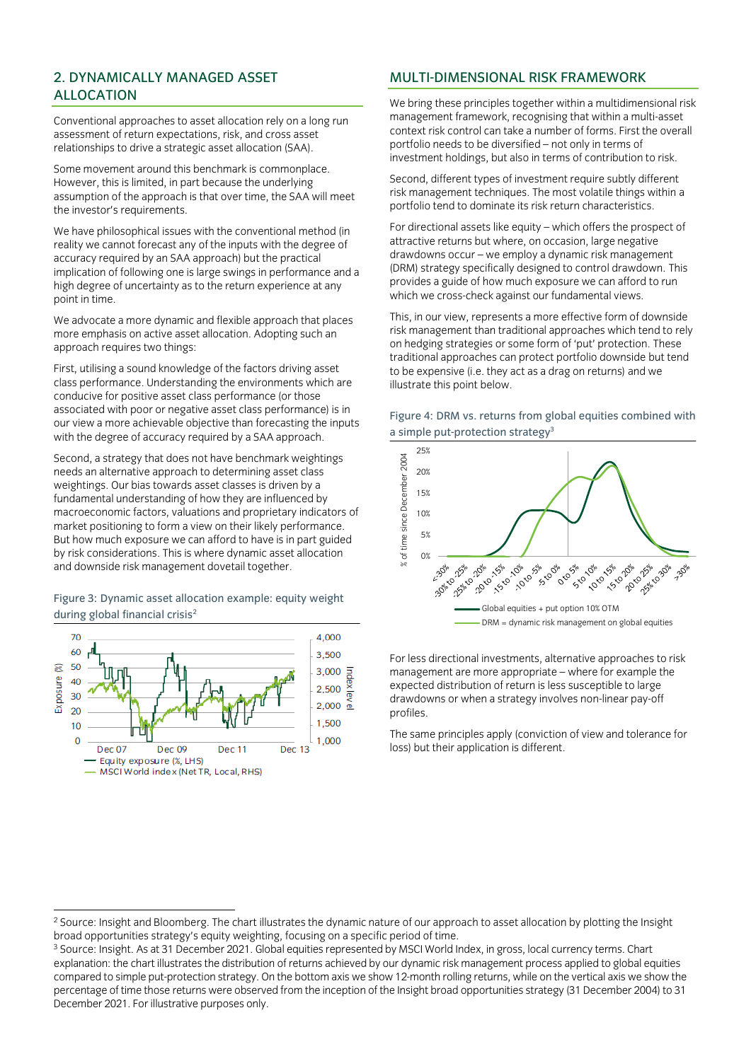# 2. DYNAMICALLY MANAGED ASSET ALLOCATION

Conventional approaches to asset allocation rely on a long run assessment of return expectations, risk, and cross asset relationships to drive a strategic asset allocation (SAA).

Some movement around this benchmark is commonplace. However, this is limited, in part because the underlying assumption of the approach is that over time, the SAA will meet the investor's requirements.

We have philosophical issues with the conventional method (in reality we cannot forecast any of the inputs with the degree of accuracy required by an SAA approach) but the practical implication of following one is large swings in performance and a high degree of uncertainty as to the return experience at any point in time.

We advocate a more dynamic and flexible approach that places more emphasis on active asset allocation. Adopting such an approach requires two things:

First, utilising a sound knowledge of the factors driving asset class performance. Understanding the environments which are conducive for positive asset class performance (or those associated with poor or negative asset class performance) is in our view a more achievable objective than forecasting the inputs with the degree of accuracy required by a SAA approach.

Second, a strategy that does not have benchmark weightings needs an alternative approach to determining asset class weightings. Our bias towards asset classes is driven by a fundamental understanding of how they are influenced by macroeconomic factors, valuations and proprietary indicators of market positioning to form a view on their likely performance. But how much exposure we can afford to have is in part guided by risk considerations. This is where dynamic asset allocation and downside risk management dovetail together.

#### Figure 3: Dynamic asset allocation example: equity weight during global financial crisis<sup>2</sup>



## MULTI-DIMENSIONAL RISK FRAMEWORK

We bring these principles together within a multidimensional risk management framework, recognising that within a multi-asset context risk control can take a number of forms. First the overall portfolio needs to be diversified – not only in terms of investment holdings, but also in terms of contribution to risk.

Second, different types of investment require subtly different risk management techniques. The most volatile things within a portfolio tend to dominate its risk return characteristics.

For directional assets like equity – which offers the prospect of attractive returns but where, on occasion, large negative drawdowns occur – we employ a dynamic risk management (DRM) strategy specifically designed to control drawdown. This provides a guide of how much exposure we can afford to run which we cross-check against our fundamental views.

This, in our view, represents a more effective form of downside risk management than traditional approaches which tend to rely on hedging strategies or some form of 'put' protection. These traditional approaches can protect portfolio downside but tend to be expensive (i.e. they act as a drag on returns) and we illustrate this point below.





For less directional investments, alternative approaches to risk management are more appropriate – where for example the expected distribution of return is less susceptible to large drawdowns or when a strategy involves non-linear pay-off profiles.

The same principles apply (conviction of view and tolerance for loss) but their application is different.

<sup>&</sup>lt;sup>2</sup> Source: Insight and Bloomberg. The chart illustrates the dynamic nature of our approach to asset allocation by plotting the Insight broad opportunities strategy's equity weighting, focusing on a specific period of time.

<sup>3</sup> Source: Insight. As at 31 December 2021. Global equities represented by MSCI World Index, in gross, local currency terms. Chart explanation: the chart illustrates the distribution of returns achieved by our dynamic risk management process applied to global equities compared to simple put-protection strategy. On the bottom axis we show 12-month rolling returns, while on the vertical axis we show the percentage of time those returns were observed from the inception of the Insight broad opportunities strategy (31 December 2004) to 31 December 2021. For illustrative purposes only.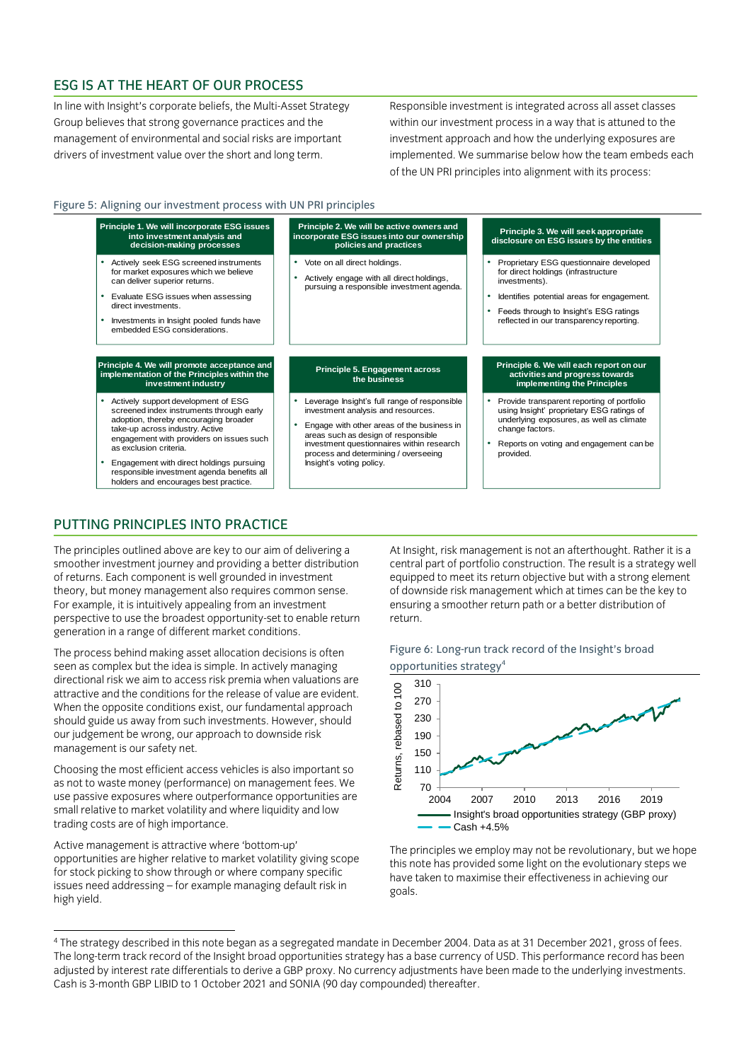# ESG IS AT THE HEART OF OUR PROCESS

In line with Insight's corporate beliefs, the Multi-Asset Strategy Group believes that strong governance practices and the management of environmental and social risks are important drivers of investment value over the short and long term.

Responsible investment is integrated across all asset classes within our investment process in a way that is attuned to the investment approach and how the underlying exposures are implemented. We summarise below how the team embeds each of the UN PRI principles into alignment with its process:

#### Figure 5: Aligning our investment process with UN PRI principles



# PUTTING PRINCIPLES INTO PRACTICE

The principles outlined above are key to our aim of delivering a smoother investment journey and providing a better distribution of returns. Each component is well grounded in investment theory, but money management also requires common sense. For example, it is intuitively appealing from an investment perspective to use the broadest opportunity-set to enable return generation in a range of different market conditions.

The process behind making asset allocation decisions is often seen as complex but the idea is simple. In actively managing directional risk we aim to access risk premia when valuations are attractive and the conditions for the release of value are evident. When the opposite conditions exist, our fundamental approach should guide us away from such investments. However, should our judgement be wrong, our approach to downside risk management is our safety net.

Choosing the most efficient access vehicles is also important so as not to waste money (performance) on management fees. We use passive exposures where outperformance opportunities are small relative to market volatility and where liquidity and low trading costs are of high importance.

Active management is attractive where 'bottom-up' opportunities are higher relative to market volatility giving scope for stock picking to show through or where company specific issues need addressing – for example managing default risk in high yield.

At Insight, risk management is not an afterthought. Rather it is a central part of portfolio construction. The result is a strategy well equipped to meet its return objective but with a strong element of downside risk management which at times can be the key to ensuring a smoother return path or a better distribution of return.





The principles we employ may not be revolutionary, but we hope this note has provided some light on the evolutionary steps we have taken to maximise their effectiveness in achieving our goals.

<sup>4</sup> The strategy described in this note began as a segregated mandate in December 2004. Data as at 31 December 2021, gross of fees. The long-term track record of the Insight broad opportunities strategy has a base currency of USD. This performance record has been adjusted by interest rate differentials to derive a GBP proxy. No currency adjustments have been made to the underlying investments. Cash is 3-month GBP LIBID to 1 October 2021 and SONIA (90 day compounded) thereafter.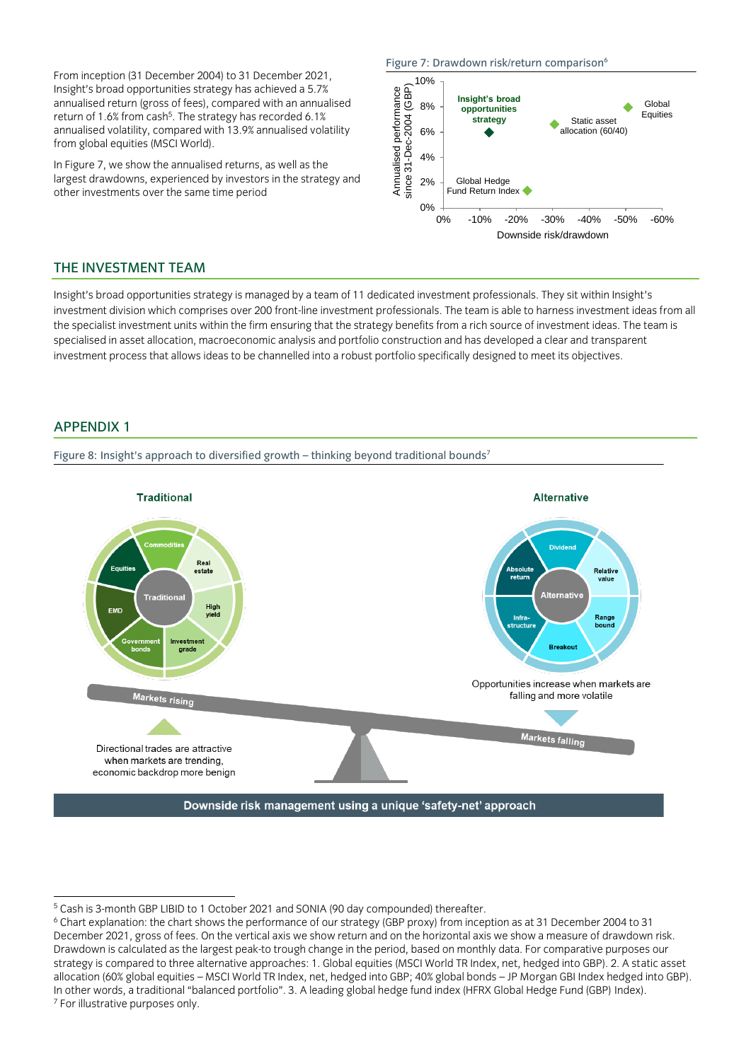From inception (31 December 2004) to 31 December 2021, Insight's broad opportunities strategy has achieved a 5.7% annualised return (gross of fees), compared with an annualised return of 1.6% from cash<sup>5</sup>. The strategy has recorded 6.1% annualised volatility, compared with 13.9% annualised volatility from global equities (MSCI World).

In Figure 7, we show the annualised returns, as well as the largest drawdowns, experienced by investors in the strategy and other investments over the same time period

#### Figure 7: Drawdown risk/return comparison<sup>6</sup>



## THE INVESTMENT TEAM

Insight's broad opportunities strategy is managed by a team of 11 dedicated investment professionals. They sit within Insight's investment division which comprises over 200 front-line investment professionals. The team is able to harness investment ideas from all the specialist investment units within the firm ensuring that the strategy benefits from a rich source of investment ideas. The team is specialised in asset allocation, macroeconomic analysis and portfolio construction and has developed a clear and transparent investment process that allows ideas to be channelled into a robust portfolio specifically designed to meet its objectives.

## APPENDIX 1

Figure 8: Insight's approach to diversified growth - thinking beyond traditional bounds<sup>7</sup>



<sup>5</sup> Cash is 3-month GBP LIBID to 1 October 2021 and SONIA (90 day compounded) thereafter.

<sup>6</sup> Chart explanation: the chart shows the performance of our strategy (GBP proxy) from inception as at 31 December 2004 to 31 December 2021, gross of fees. On the vertical axis we show return and on the horizontal axis we show a measure of drawdown risk. Drawdown is calculated as the largest peak-to trough change in the period, based on monthly data. For comparative purposes our strategy is compared to three alternative approaches: 1. Global equities (MSCI World TR Index, net, hedged into GBP). 2. A static asset allocation (60% global equities – MSCI World TR Index, net, hedged into GBP; 40% global bonds – JP Morgan GBI Index hedged into GBP). In other words, a traditional "balanced portfolio". 3. A leading global hedge fund index (HFRX Global Hedge Fund (GBP) Index). <sup>7</sup> For illustrative purposes only.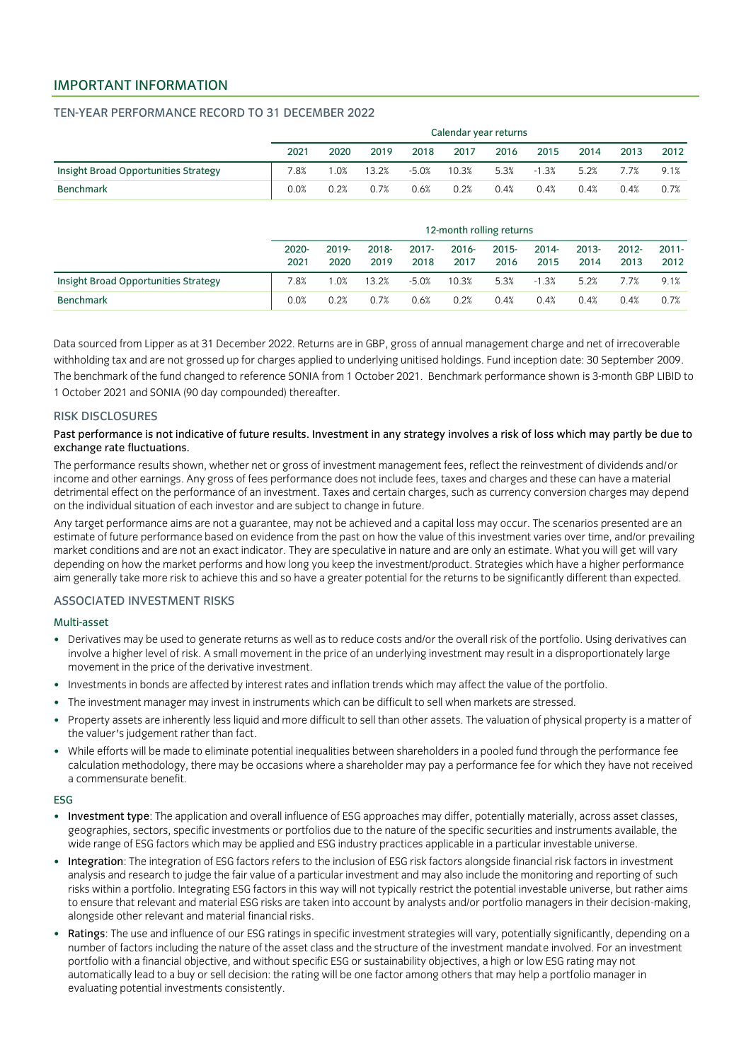## IMPORTANT INFORMATION

#### TEN-YEAR PERFORMANCE RECORD TO 31 DECEMBER 2022

|                                      | Calendar year returns |      |       |         |       |      |         |      |      |      |
|--------------------------------------|-----------------------|------|-------|---------|-------|------|---------|------|------|------|
|                                      | 2021                  | 2020 | 2019  | 2018    | 2017  | 2016 | 2015    | 2014 | 2013 | 2012 |
| Insight Broad Opportunities Strategy | 7.8%                  | .0%  | 13.2% | $-5.0%$ | 10.3% | 5.3% | $-1.3%$ | 5.2% | 7.7% | 9.1% |
| <b>Benchmark</b>                     | 0.0%                  | 0.2% | 0.7%  | 0.6%    | 0.2%  | 0.4% | 0.4%    | 0.4% | 0.4% | 0.7% |

|                                      | 12-month rolling returns |                  |               |                  |                  |                  |                  |                  |                  |                  |
|--------------------------------------|--------------------------|------------------|---------------|------------------|------------------|------------------|------------------|------------------|------------------|------------------|
|                                      | 2020-<br>2021            | $2019 -$<br>2020 | 2018-<br>2019 | $2017 -$<br>2018 | $2016 -$<br>2017 | $2015 -$<br>2016 | $2014 -$<br>2015 | $2013 -$<br>2014 | $2012 -$<br>2013 | $2011 -$<br>2012 |
| Insight Broad Opportunities Strategy | 7.8%                     | .0%              | 13.2%         | $-5.0%$          | 10.3%            | 5.3%             | $-1.3%$          | 5.2%             | 7.7%             | 9.1%             |
| <b>Benchmark</b>                     | 0.0%                     | 0.2%             | 0.7%          | 0.6%             | 0.2%             | 0.4%             | 0.4%             | 0.4%             | 0.4%             | 0.7%             |

Data sourced from Lipper as at 31 December 2022. Returns are in GBP, gross of annual management charge and net of irrecoverable withholding tax and are not grossed up for charges applied to underlying unitised holdings. Fund inception date: 30 September 2009. The benchmark of the fund changed to reference SONIA from 1 October 2021. Benchmark performance shown is 3-month GBP LIBID to 1 October 2021 and SONIA (90 day compounded) thereafter.

#### RISK DISCLOSURES

#### Past performance is not indicative of future results. Investment in any strategy involves a risk of loss which may partly be due to exchange rate fluctuations.

The performance results shown, whether net or gross of investment management fees, reflect the reinvestment of dividends and/or income and other earnings. Any gross of fees performance does not include fees, taxes and charges and these can have a material detrimental effect on the performance of an investment. Taxes and certain charges, such as currency conversion charges may depend on the individual situation of each investor and are subject to change in future.

Any target performance aims are not a guarantee, may not be achieved and a capital loss may occur. The scenarios presented are an estimate of future performance based on evidence from the past on how the value of this investment varies over time, and/or prevailing market conditions and are not an exact indicator. They are speculative in nature and are only an estimate. What you will get will vary depending on how the market performs and how long you keep the investment/product. Strategies which have a higher performance aim generally take more risk to achieve this and so have a greater potential for the returns to be significantly different than expected.

#### ASSOCIATED INVESTMENT RISKS

#### Multi-asset

- Derivatives may be used to generate returns as well as to reduce costs and/or the overall risk of the portfolio. Using derivatives can involve a higher level of risk. A small movement in the price of an underlying investment may result in a disproportionately large movement in the price of the derivative investment.
- Investments in bonds are affected by interest rates and inflation trends which may affect the value of the portfolio.
- The investment manager may invest in instruments which can be difficult to sell when markets are stressed.
- Property assets are inherently less liquid and more difficult to sell than other assets. The valuation of physical property is a matter of the valuer's judgement rather than fact.
- While efforts will be made to eliminate potential inequalities between shareholders in a pooled fund through the performance fee calculation methodology, there may be occasions where a shareholder may pay a performance fee for which they have not received a commensurate benefit.

#### ESG

- Investment type: The application and overall influence of ESG approaches may differ, potentially materially, across asset classes, geographies, sectors, specific investments or portfolios due to the nature of the specific securities and instruments available, the wide range of ESG factors which may be applied and ESG industry practices applicable in a particular investable universe.
- Integration: The integration of ESG factors refers to the inclusion of ESG risk factors alongside financial risk factors in investment analysis and research to judge the fair value of a particular investment and may also include the monitoring and reporting of such risks within a portfolio. Integrating ESG factors in this way will not typically restrict the potential investable universe, but rather aims to ensure that relevant and material ESG risks are taken into account by analysts and/or portfolio managers in their decision-making, alongside other relevant and material financial risks.
- Ratings: The use and influence of our ESG ratings in specific investment strategies will vary, potentially significantly, depending on a number of factors including the nature of the asset class and the structure of the investment mandate involved. For an investment portfolio with a financial objective, and without specific ESG or sustainability objectives, a high or low ESG rating may not automatically lead to a buy or sell decision: the rating will be one factor among others that may help a portfolio manager in evaluating potential investments consistently.